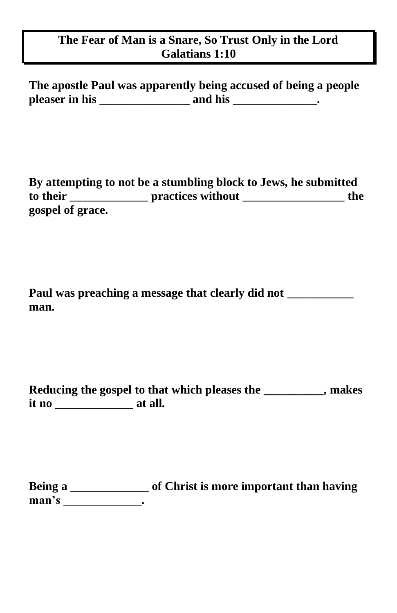## **The Fear of Man is a Snare, So Trust Only in the Lord Galatians 1:10**

**The apostle Paul was apparently being accused of being a people pleaser in his \_\_\_\_\_\_\_\_\_\_\_\_\_\_\_ and his \_\_\_\_\_\_\_\_\_\_\_\_\_\_.**

**By attempting to not be a stumbling block to Jews, he submitted to their \_\_\_\_\_\_\_\_\_\_\_\_\_ practices without \_\_\_\_\_\_\_\_\_\_\_\_\_\_\_\_\_ the gospel of grace.**

|      | Paul was preaching a message that clearly did not |  |
|------|---------------------------------------------------|--|
| man. |                                                   |  |

|       | Reducing the gospel to that which pleases the | , makes |
|-------|-----------------------------------------------|---------|
| it no | at all.                                       |         |

**Being a \_\_\_\_\_\_\_\_\_\_\_\_\_ of Christ is more important than having man's \_\_\_\_\_\_\_\_\_\_\_\_\_.**